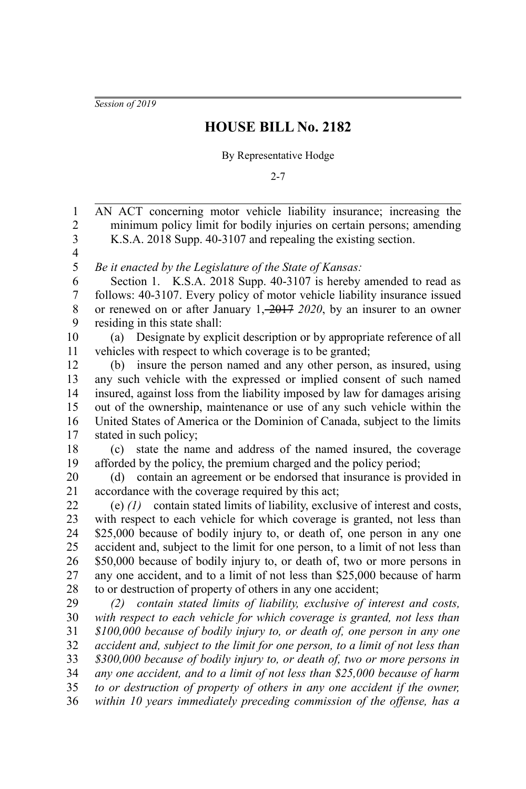*Session of 2019*

## **HOUSE BILL No. 2182**

## By Representative Hodge

2-7

AN ACT concerning motor vehicle liability insurance; increasing the minimum policy limit for bodily injuries on certain persons; amending K.S.A. 2018 Supp. 40-3107 and repealing the existing section. *Be it enacted by the Legislature of the State of Kansas:* Section 1. K.S.A. 2018 Supp. 40-3107 is hereby amended to read as follows: 40-3107. Every policy of motor vehicle liability insurance issued or renewed on or after January 1, 2017 *2020*, by an insurer to an owner residing in this state shall: (a) Designate by explicit description or by appropriate reference of all vehicles with respect to which coverage is to be granted; (b) insure the person named and any other person, as insured, using any such vehicle with the expressed or implied consent of such named insured, against loss from the liability imposed by law for damages arising out of the ownership, maintenance or use of any such vehicle within the United States of America or the Dominion of Canada, subject to the limits stated in such policy; (c) state the name and address of the named insured, the coverage afforded by the policy, the premium charged and the policy period; (d) contain an agreement or be endorsed that insurance is provided in accordance with the coverage required by this act; (e) *(1)* contain stated limits of liability, exclusive of interest and costs, with respect to each vehicle for which coverage is granted, not less than \$25,000 because of bodily injury to, or death of, one person in any one accident and, subject to the limit for one person, to a limit of not less than \$50,000 because of bodily injury to, or death of, two or more persons in any one accident, and to a limit of not less than \$25,000 because of harm to or destruction of property of others in any one accident; *(2) contain stated limits of liability, exclusive of interest and costs, with respect to each vehicle for which coverage is granted, not less than \$100,000 because of bodily injury to, or death of, one person in any one accident and, subject to the limit for one person, to a limit of not less than \$300,000 because of bodily injury to, or death of, two or more persons in any one accident, and to a limit of not less than \$25,000 because of harm to or destruction of property of others in any one accident if the owner, within 10 years immediately preceding commission of the offense, has a* 1 2 3 4 5 6 7 8 9 10 11 12 13 14 15 16 17 18 19 20 21 22 23 24 25 26 27 28 29 30 31 32 33 34 35 36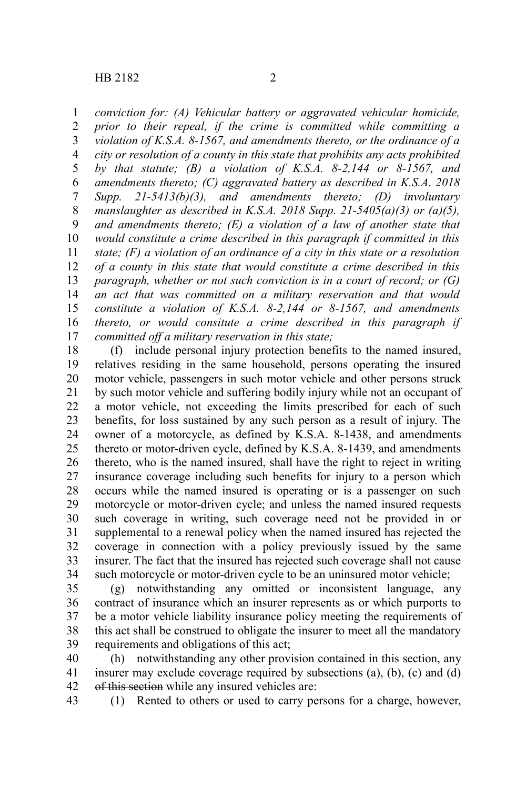*conviction for: (A) Vehicular battery or aggravated vehicular homicide,* 1

*prior to their repeal, if the crime is committed while committing a violation of K.S.A. 8-1567, and amendments thereto, or the ordinance of a city or resolution of a county in this state that prohibits any acts prohibited by that statute; (B) a violation of K.S.A. 8-2,144 or 8-1567, and amendments thereto; (C) aggravated battery as described in K.S.A. 2018 Supp. 21-5413(b)(3), and amendments thereto; (D) involuntary manslaughter as described in K.S.A. 2018 Supp. 21-5405(a)(3) or (a)(5), and amendments thereto; (E) a violation of a law of another state that would constitute a crime described in this paragraph if committed in this state; (F) a violation of an ordinance of a city in this state or a resolution of a county in this state that would constitute a crime described in this paragraph, whether or not such conviction is in a court of record; or (G) an act that was committed on a military reservation and that would constitute a violation of K.S.A. 8-2,144 or 8-1567, and amendments thereto, or would consitute a crime described in this paragraph if committed off a military reservation in this state;* 2 3 4 5 6 7 8 9 10 11 12 13 14 15 16 17

(f) include personal injury protection benefits to the named insured, relatives residing in the same household, persons operating the insured motor vehicle, passengers in such motor vehicle and other persons struck by such motor vehicle and suffering bodily injury while not an occupant of a motor vehicle, not exceeding the limits prescribed for each of such benefits, for loss sustained by any such person as a result of injury. The owner of a motorcycle, as defined by K.S.A. 8-1438, and amendments thereto or motor-driven cycle, defined by K.S.A. 8-1439, and amendments thereto, who is the named insured, shall have the right to reject in writing insurance coverage including such benefits for injury to a person which occurs while the named insured is operating or is a passenger on such motorcycle or motor-driven cycle; and unless the named insured requests such coverage in writing, such coverage need not be provided in or supplemental to a renewal policy when the named insured has rejected the coverage in connection with a policy previously issued by the same insurer. The fact that the insured has rejected such coverage shall not cause such motorcycle or motor-driven cycle to be an uninsured motor vehicle; 18 19 20 21 22 23 24 25 26 27 28 29 30 31 32 33 34

(g) notwithstanding any omitted or inconsistent language, any contract of insurance which an insurer represents as or which purports to be a motor vehicle liability insurance policy meeting the requirements of this act shall be construed to obligate the insurer to meet all the mandatory requirements and obligations of this act; 35 36 37 38 39

(h) notwithstanding any other provision contained in this section, any insurer may exclude coverage required by subsections (a), (b), (c) and (d) of this section while any insured vehicles are: 40 41 42

(1) Rented to others or used to carry persons for a charge, however, 43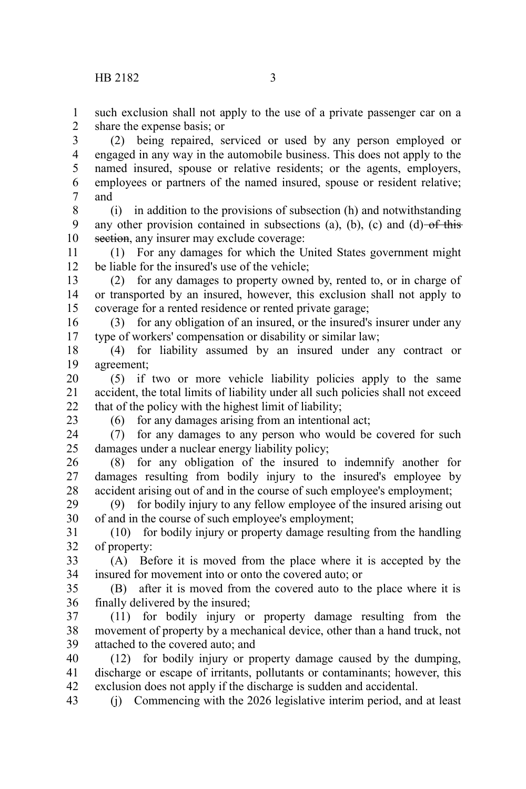such exclusion shall not apply to the use of a private passenger car on a share the expense basis; or 1 2

(2) being repaired, serviced or used by any person employed or engaged in any way in the automobile business. This does not apply to the named insured, spouse or relative residents; or the agents, employers, employees or partners of the named insured, spouse or resident relative; and 3 4 5 6 7

(i) in addition to the provisions of subsection (h) and notwithstanding any other provision contained in subsections (a), (b), (c) and (d)  $-$ of this section, any insurer may exclude coverage: 8 9 10

(1) For any damages for which the United States government might be liable for the insured's use of the vehicle; 11 12

(2) for any damages to property owned by, rented to, or in charge of or transported by an insured, however, this exclusion shall not apply to coverage for a rented residence or rented private garage; 13 14 15

(3) for any obligation of an insured, or the insured's insurer under any type of workers' compensation or disability or similar law; 16 17

(4) for liability assumed by an insured under any contract or agreement; 18 19

(5) if two or more vehicle liability policies apply to the same accident, the total limits of liability under all such policies shall not exceed that of the policy with the highest limit of liability; 20 21 22

23

(6) for any damages arising from an intentional act;

(7) for any damages to any person who would be covered for such damages under a nuclear energy liability policy; 24 25

(8) for any obligation of the insured to indemnify another for damages resulting from bodily injury to the insured's employee by accident arising out of and in the course of such employee's employment; 26 27 28

(9) for bodily injury to any fellow employee of the insured arising out of and in the course of such employee's employment; 29 30

(10) for bodily injury or property damage resulting from the handling of property: 31 32

(A) Before it is moved from the place where it is accepted by the insured for movement into or onto the covered auto; or 33 34

(B) after it is moved from the covered auto to the place where it is finally delivered by the insured; 35 36

(11) for bodily injury or property damage resulting from the movement of property by a mechanical device, other than a hand truck, not attached to the covered auto; and 37 38 39

(12) for bodily injury or property damage caused by the dumping, discharge or escape of irritants, pollutants or contaminants; however, this exclusion does not apply if the discharge is sudden and accidental. 40 41 42

(j) Commencing with the 2026 legislative interim period, and at least 43